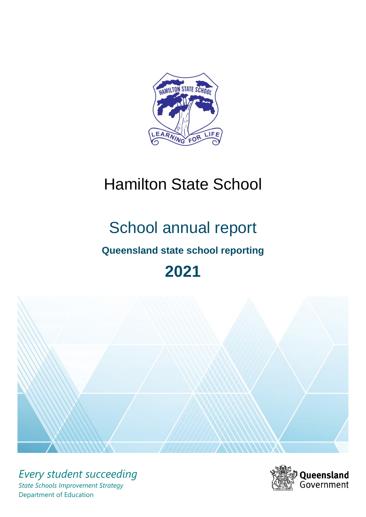

# Hamilton State School

# School annual report

# **Queensland state school reporting**

# **2021**



*Every student succeeding State Schools Improvement Strategy* Department of Education

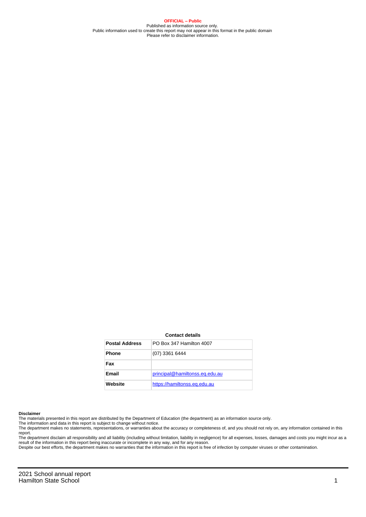**OFFICIAL – Public** Published as information source only. Public information used to create this report may not appear in this format in the public domain Please refer to disclaimer information.

#### **Contact details**

| <b>Postal Address</b> | PO Box 347 Hamilton 4007       |
|-----------------------|--------------------------------|
| <b>Phone</b>          | (07) 3361 6444                 |
| Fax                   |                                |
| Email                 | principal@hamiltonss.eq.edu.au |
| Website               | https://hamiltonss.eq.edu.au   |

#### **Disclaimer**

The materials presented in this report are distributed by the Department of Education (the department) as an information source only.

The information and data in this report is subject to change without notice.<br>The department makes no statements, representations, or warranties about the accuracy or completeness of, and you should not rely on, any informa report.

The department disclaim all responsibility and all liability (including without limitation, liability in negligence) for all expenses, losses, damages and costs you might incur as a result of the information in this report being inaccurate or incomplete in any way, and for any reason. Despite our best efforts, the department makes no warranties that the information in this report is free of infection by computer viruses or other contamination.

2021 School annual report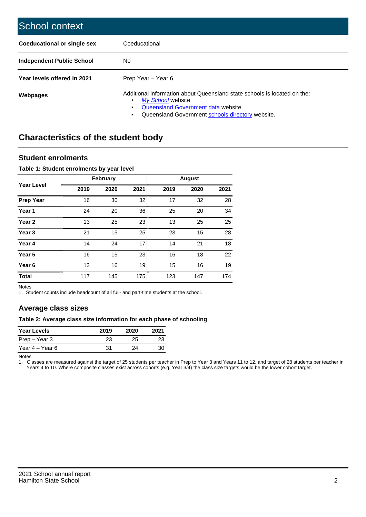| School context                   |                                                                                                                                                                                              |
|----------------------------------|----------------------------------------------------------------------------------------------------------------------------------------------------------------------------------------------|
| Coeducational or single sex      | Coeducational                                                                                                                                                                                |
| <b>Independent Public School</b> | No.                                                                                                                                                                                          |
| Year levels offered in 2021      | Prep Year - Year 6                                                                                                                                                                           |
| Webpages                         | Additional information about Queensland state schools is located on the:<br>My School website<br>Queensland Government data website<br>Queensland Government schools directory website.<br>٠ |

# **Characteristics of the student body**

# **Student enrolments**

## **Table 1: Student enrolments by year level**

|                   |      | <b>February</b> |      |      | <b>August</b> |      |
|-------------------|------|-----------------|------|------|---------------|------|
| <b>Year Level</b> | 2019 | 2020            | 2021 | 2019 | 2020          | 2021 |
| <b>Prep Year</b>  | 16   | 30              | 32   | 17   | 32            | 28   |
| Year 1            | 24   | 20              | 36   | 25   | 20            | 34   |
| Year 2            | 13   | 25              | 23   | 13   | 25            | 25   |
| Year <sub>3</sub> | 21   | 15              | 25   | 23   | 15            | 28   |
| Year 4            | 14   | 24              | 17   | 14   | 21            | 18   |
| Year <sub>5</sub> | 16   | 15              | 23   | 16   | 18            | 22   |
| Year <sub>6</sub> | 13   | 16              | 19   | 15   | 16            | 19   |
| <b>Total</b>      | 117  | 145             | 175  | 123  | 147           | 174  |

Notes

1. Student counts include headcount of all full- and part-time students at the school.

# **Average class sizes**

## **Table 2: Average class size information for each phase of schooling**

| <b>Year Levels</b> | 2019 | 2020 | 2021 |
|--------------------|------|------|------|
| Prep – Year 3      | 23   | 25   | 23   |
| Year 4 – Year 6    | 31   | 24   | 30   |

Notes

1. Classes are measured against the target of 25 students per teacher in Prep to Year 3 and Years 11 to 12, and target of 28 students per teacher in Years 4 to 10. Where composite classes exist across cohorts (e.g. Year 3/4) the class size targets would be the lower cohort target.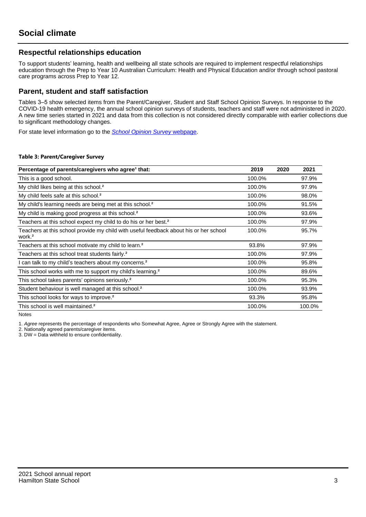# **Respectful relationships education**

To support students' learning, health and wellbeing all state schools are required to implement respectful relationships education through the Prep to Year 10 Australian Curriculum: Health and Physical Education and/or through school pastoral care programs across Prep to Year 12.

# **Parent, student and staff satisfaction**

Tables 3–5 show selected items from the Parent/Caregiver, Student and Staff School Opinion Surveys. In response to the COVID-19 health emergency, the annual school opinion surveys of students, teachers and staff were not administered in 2020. A new time series started in 2021 and data from this collection is not considered directly comparable with earlier collections due to significant methodology changes.

For state level information go to the **[School Opinion Survey](https://qed.qld.gov.au/publications/reports/statistics/schooling/schools/schoolopinionsurvey) webpage**.

#### **Table 3: Parent/Caregiver Survey**

| Percentage of parents/caregivers who agree <sup>1</sup> that:                                               | 2019   | 2020 | 2021   |
|-------------------------------------------------------------------------------------------------------------|--------|------|--------|
| This is a good school.                                                                                      | 100.0% |      | 97.9%  |
| My child likes being at this school. <sup>2</sup>                                                           | 100.0% |      | 97.9%  |
| My child feels safe at this school. <sup>2</sup>                                                            | 100.0% |      | 98.0%  |
| My child's learning needs are being met at this school. <sup>2</sup>                                        | 100.0% |      | 91.5%  |
| My child is making good progress at this school. <sup>2</sup>                                               | 100.0% |      | 93.6%  |
| Teachers at this school expect my child to do his or her best. <sup>2</sup>                                 | 100.0% |      | 97.9%  |
| Teachers at this school provide my child with useful feedback about his or her school<br>work. <sup>2</sup> | 100.0% |      | 95.7%  |
| Teachers at this school motivate my child to learn. <sup>2</sup>                                            | 93.8%  |      | 97.9%  |
| Teachers at this school treat students fairly. <sup>2</sup>                                                 | 100.0% |      | 97.9%  |
| I can talk to my child's teachers about my concerns. <sup>2</sup>                                           | 100.0% |      | 95.8%  |
| This school works with me to support my child's learning. <sup>2</sup>                                      | 100.0% |      | 89.6%  |
| This school takes parents' opinions seriously. <sup>2</sup>                                                 | 100.0% |      | 95.3%  |
| Student behaviour is well managed at this school. <sup>2</sup>                                              | 100.0% |      | 93.9%  |
| This school looks for ways to improve. <sup>2</sup>                                                         | 93.3%  |      | 95.8%  |
| This school is well maintained. <sup>2</sup>                                                                | 100.0% |      | 100.0% |

Notes

1. Agree represents the percentage of respondents who Somewhat Agree, Agree or Strongly Agree with the statement.

2. Nationally agreed parents/caregiver items.

3. DW = Data withheld to ensure confidentiality.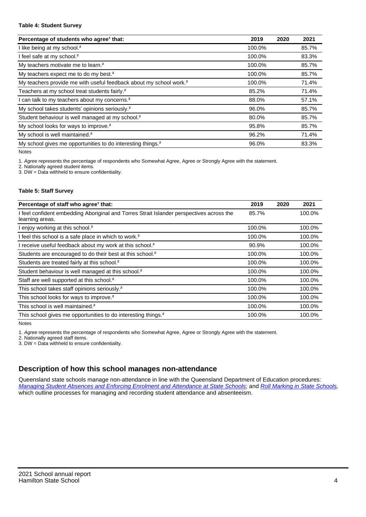#### **Table 4: Student Survey**

| Percentage of students who agree <sup>1</sup> that:                            | 2019   | 2020 | 2021  |
|--------------------------------------------------------------------------------|--------|------|-------|
| I like being at my school. <sup>2</sup>                                        | 100.0% |      | 85.7% |
| I feel safe at my school. <sup>2</sup>                                         | 100.0% |      | 83.3% |
| My teachers motivate me to learn. <sup>2</sup>                                 | 100.0% |      | 85.7% |
| My teachers expect me to do my best. <sup>2</sup>                              | 100.0% |      | 85.7% |
| My teachers provide me with useful feedback about my school work. <sup>2</sup> | 100.0% |      | 71.4% |
| Teachers at my school treat students fairly. <sup>2</sup>                      | 85.2%  |      | 71.4% |
| I can talk to my teachers about my concerns. <sup>2</sup>                      | 88.0%  |      | 57.1% |
| My school takes students' opinions seriously. <sup>2</sup>                     | 96.0%  |      | 85.7% |
| Student behaviour is well managed at my school. <sup>2</sup>                   | 80.0%  |      | 85.7% |
| My school looks for ways to improve. <sup>2</sup>                              | 95.8%  |      | 85.7% |
| My school is well maintained. <sup>2</sup>                                     | 96.2%  |      | 71.4% |
| My school gives me opportunities to do interesting things. <sup>2</sup>        | 96.0%  |      | 83.3% |

Notes

1. Agree represents the percentage of respondents who Somewhat Agree, Agree or Strongly Agree with the statement.

2. Nationally agreed student items.

3. DW = Data withheld to ensure confidentiality.

#### **Table 5: Staff Survey**

| Percentage of staff who agree <sup>1</sup> that:                                                            | 2019   | 2020 | 2021   |
|-------------------------------------------------------------------------------------------------------------|--------|------|--------|
| I feel confident embedding Aboriginal and Torres Strait Islander perspectives across the<br>learning areas. | 85.7%  |      | 100.0% |
| I enjoy working at this school. <sup>2</sup>                                                                | 100.0% |      | 100.0% |
| I feel this school is a safe place in which to work. <sup>2</sup>                                           | 100.0% |      | 100.0% |
| I receive useful feedback about my work at this school. <sup>2</sup>                                        | 90.9%  |      | 100.0% |
| Students are encouraged to do their best at this school. <sup>2</sup>                                       | 100.0% |      | 100.0% |
| Students are treated fairly at this school. <sup>2</sup>                                                    | 100.0% |      | 100.0% |
| Student behaviour is well managed at this school. <sup>2</sup>                                              | 100.0% |      | 100.0% |
| Staff are well supported at this school. <sup>2</sup>                                                       | 100.0% |      | 100.0% |
| This school takes staff opinions seriously. <sup>2</sup>                                                    | 100.0% |      | 100.0% |
| This school looks for ways to improve. <sup>2</sup>                                                         | 100.0% |      | 100.0% |
| This school is well maintained. <sup>2</sup>                                                                | 100.0% |      | 100.0% |
| This school gives me opportunities to do interesting things. <sup>2</sup>                                   | 100.0% |      | 100.0% |

Notes

1. Agree represents the percentage of respondents who Somewhat Agree, Agree or Strongly Agree with the statement.

2. Nationally agreed staff items.

3. DW = Data withheld to ensure confidentiality.

# **Description of how this school manages non-attendance**

Queensland state schools manage non-attendance in line with the Queensland Department of Education procedures: [Managing Student Absences and Enforcing Enrolment and Attendance at State Schools](https://ppr.qed.qld.gov.au/pp/managing-student-absences-and-enforcing-enrolment-and-attendance-at-state-schools-procedure); and [Roll Marking in State Schools,](https://ppr.qed.qld.gov.au/pp/roll-marking-in-state-schools-procedure) which outline processes for managing and recording student attendance and absenteeism.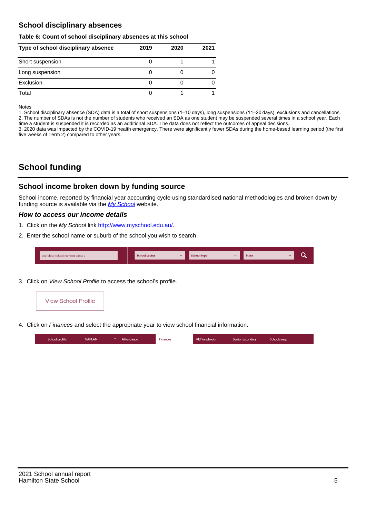# **School disciplinary absences**

#### **Table 6: Count of school disciplinary absences at this school**

| Type of school disciplinary absence | 2019 | 2020 | 2021 |
|-------------------------------------|------|------|------|
| Short suspension                    |      |      |      |
| Long suspension                     |      |      |      |
| Exclusion                           |      |      |      |
| Total                               |      |      |      |

Notes

1. School disciplinary absence (SDA) data is a total of short suspensions (1–10 days), long suspensions (11–20 days), exclusions and cancellations. 2. The number of SDAs is not the number of students who received an SDA as one student may be suspended several times in a school year. Each time a student is suspended it is recorded as an additional SDA. The data does not reflect the outcomes of appeal decisions.

3. 2020 data was impacted by the COVID-19 health emergency. There were significantly fewer SDAs during the home-based learning period (the first five weeks of Term 2) compared to other years.

# **School funding**

# **School income broken down by funding source**

School income, reported by financial year accounting cycle using standardised national methodologies and broken down by funding source is available via the  $My$  School website.

## **How to access our income details**

- 1. Click on the My School link <http://www.myschool.edu.au/>.
- 2. Enter the school name or suburb of the school you wish to search.

| Search by school name or suburb | <b>School sector</b> | <b>Concool type</b> | <b>State</b> |  |
|---------------------------------|----------------------|---------------------|--------------|--|
|                                 |                      |                     |              |  |

3. Click on View School Profile to access the school's profile.



4. Click on Finances and select the appropriate year to view school financial information.

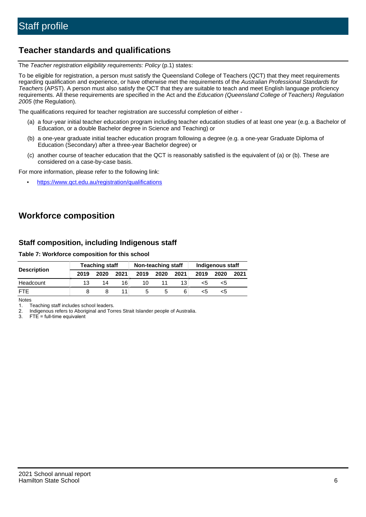# **Teacher standards and qualifications**

The Teacher registration eligibility requirements: Policy (p.1) states:

To be eligible for registration, a person must satisfy the Queensland College of Teachers (QCT) that they meet requirements regarding qualification and experience, or have otherwise met the requirements of the Australian Professional Standards for Teachers (APST). A person must also satisfy the QCT that they are suitable to teach and meet English language proficiency requirements. All these requirements are specified in the Act and the Education (Queensland College of Teachers) Regulation 2005 (the Regulation).

The qualifications required for teacher registration are successful completion of either -

- (a) a four-year initial teacher education program including teacher education studies of at least one year (e.g. a Bachelor of Education, or a double Bachelor degree in Science and Teaching) or
- (b) a one-year graduate initial teacher education program following a degree (e.g. a one-year Graduate Diploma of Education (Secondary) after a three-year Bachelor degree) or
- (c) another course of teacher education that the QCT is reasonably satisfied is the equivalent of (a) or (b). These are considered on a case-by-case basis.

For more information, please refer to the following link:

• <https://www.qct.edu.au/registration/qualifications>

# **Workforce composition**

# **Staff composition, including Indigenous staff**

**Table 7: Workforce composition for this school**

|                    | <b>Teaching staff</b> |      |      | Non-teaching staff |      |      | <b>Indigenous staff</b> |      |      |
|--------------------|-----------------------|------|------|--------------------|------|------|-------------------------|------|------|
| <b>Description</b> | 2019                  | 2020 | 2021 | 2019               | 2020 | 2021 | 2019                    | 2020 | 2021 |
| Headcount          | 13                    | 14   | 16   | 10                 |      |      | <5                      | <5   |      |
| <b>FTF</b>         |                       |      | 11   |                    |      | 6    | <5                      | כ>   |      |

Notes

1. Teaching staff includes school leaders.

2. Indigenous refers to Aboriginal and Torres Strait Islander people of Australia.

3. FTE = full-time equivalent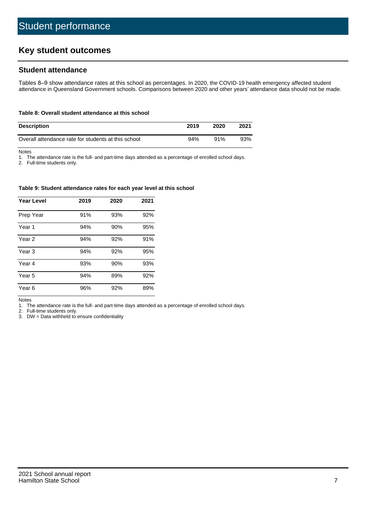# **Key student outcomes**

# **Student attendance**

Tables 8–9 show attendance rates at this school as percentages. In 2020, the COVID-19 health emergency affected student attendance in Queensland Government schools. Comparisons between 2020 and other years' attendance data should not be made.

#### **Table 8: Overall student attendance at this school**

| <b>Description</b>                                  | 2019 | 2020 | 2021 |
|-----------------------------------------------------|------|------|------|
| Overall attendance rate for students at this school | 94%  | 91%  | 93%  |

Notes

1. The attendance rate is the full- and part-time days attended as a percentage of enrolled school days.

2. Full-time students only.

#### **Table 9: Student attendance rates for each year level at this school**

| <b>Year Level</b> | 2019 | 2020 | 2021 |
|-------------------|------|------|------|
| Prep Year         | 91%  | 93%  | 92%  |
| Year <sub>1</sub> | 94%  | 90%  | 95%  |
| Year 2            | 94%  | 92%  | 91%  |
| Year 3            | 94%  | 92%  | 95%  |
| Year 4            | 93%  | 90%  | 93%  |
| Year 5            | 94%  | 89%  | 92%  |
| Year <sub>6</sub> | 96%  | 92%  | 89%  |

Notes

1. The attendance rate is the full- and part-time days attended as a percentage of enrolled school days.

2. Full-time students only.

3. DW = Data withheld to ensure confidentiality